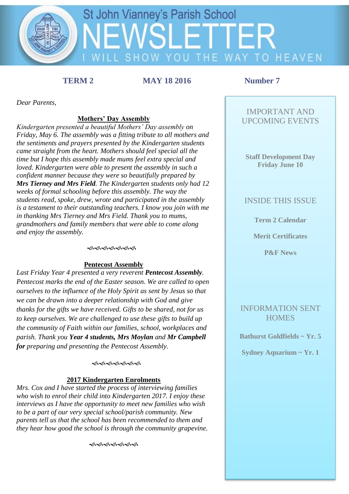

**TERM 2 MAY 18 2016 Number 7** 

*Dear Parents,* 

# **Mothers' Day Assembly**

*Kindergarten presented a beautiful Mothers' Day assembly on Friday, May 6. The assembly was a fitting tribute to all mothers and the sentiments and prayers presented by the Kindergarten students came straight from the heart. Mothers should feel special all the time but I hope this assembly made mums feel extra special and loved. Kindergarten were able to present the assembly in such a confident manner because they were so beautifully prepared by Mrs Tierney and Mrs Field. The Kindergarten students only had 12 weeks of formal schooling before this assembly. The way the students read, spoke, drew, wrote and participated in the assembly is a testament to their outstanding teachers. I know you join with me in thanking Mrs Tierney and Mrs Field. Thank you to mums, grandmothers and family members that were able to come along and enjoy the assembly.*

### *ৰুৰুৰুৰুৰ স্থা*

### **Pentecost Assembly**

*Last Friday Year 4 presented a very reverent Pentecost Assembly. Pentecost marks the end of the Easter season. We are called to open ourselves to the influence of the Holy Spirit as sent by Jesus so that we can be drawn into a deeper relationship with God and give thanks for the gifts we have received. Gifts to be shared, not for us to keep ourselves. We are challenged to use these gifts to build up the community of Faith within our families, school, workplaces and parish. Thank you Year 4 students, Mrs Moylan and Mr Campbell for preparing and presenting the Pentecost Assembly.*

### *ଈଈଈଈଈ*

### **2017 Kindergarten Enrolments**

*Mrs. Cox and I have started the process of interviewing families who wish to enrol their child into Kindergarten 2017. I enjoy these interviews as I have the opportunity to meet new families who wish to be a part of our very special school/parish community. New parents tell us that the school has been recommended to them and they hear how good the school is through the community grapevine.* 

ৼ৽৻ৼ৽৻৽৻৽৻৽৻

# IMPORTANT AND UPCOMING EVENTS

### **Staff Development Day Friday June 10**

### INSIDE THIS ISSUE

**Term 2 Calendar**

## **Merit Certificates**

**P&F News** 

# INFORMATION SENT **HOMES**

**Bathurst Goldfields ~ Yr. 5**

**Sydney Aquarium ~ Yr. 1**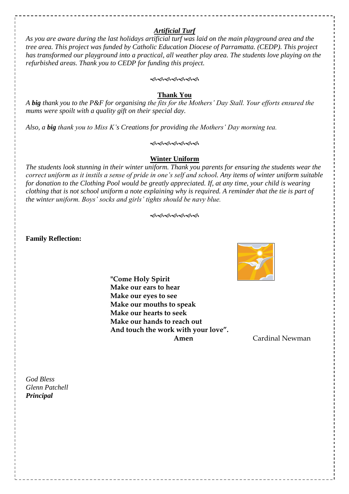# *Artificial Turf*

*As you are aware during the last holidays artificial turf was laid on the main playground area and the tree area. This project was funded by Catholic Education Diocese of Parramatta. (CEDP). This project has transformed our playground into a practical, all weather play area. The students love playing on the refurbished areas. Thank you to CEDP for funding this project.*

### ଏ ଏକ ଅବ୍ୟ ଅବ<del>୍ୟ</del>

### **Thank You**

*A big thank you to the P&F for organising the fits for the Mothers' Day Stall. Your efforts ensured the mums were spoilt with a quality gift on their special day.*

*Also, a big thank you to Miss K's Creations for providing the Mothers' Day morning tea.*

### ৼ৽৻৽৻৽৻৽৻৽৻৽৻

### **Winter Uniform**

*The students look stunning in their winter uniform. Thank you parents for ensuring the students wear the correct uniform as it instils a sense of pride in one's self and school. Any items of winter uniform suitable for donation to the Clothing Pool would be greatly appreciated. If, at any time, your child is wearing clothing that is not school uniform a note explaining why is required. A reminder that the tie is part of the winter uniform. Boys' socks and girls' tights should be navy blue.*

### ৼ৽৻ৼ৽৻৽৻৽৻

**Family Reflection:** 



**"Come Holy Spirit Make our ears to hear Make our eyes to see Make our mouths to speak Make our hearts to seek Make our hands to reach out And touch the work with your love". Amen Cardinal Newman** 

*God Bless Glenn Patchell Principal*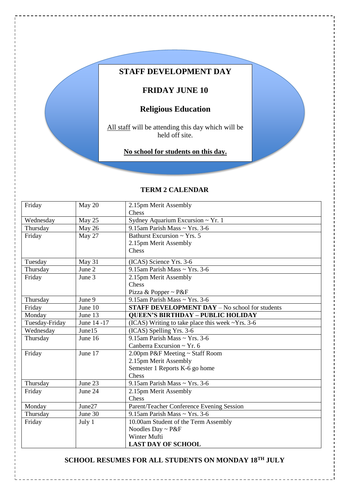# **STAFF DEVELOPMENT DAY**

# **FRIDAY JUNE 10**

# **Religious Education**

All staff will be attending this day which will be held off site.

**No school for students on this day.**

# **TERM 2 CALENDAR**

| Friday            | May 20      | 2.15pm Merit Assembly                                 |  |  |
|-------------------|-------------|-------------------------------------------------------|--|--|
|                   |             | Chess                                                 |  |  |
| Wednesday         | May 25      | Sydney Aquarium Excursion ~ Yr. 1                     |  |  |
| Thursday          | May 26      | 9.15am Parish Mass ~ Yrs. 3-6                         |  |  |
| Friday            | May 27      | Bathurst Excursion $\sim$ Yrs. 5                      |  |  |
|                   |             | 2.15pm Merit Assembly                                 |  |  |
|                   |             | Chess                                                 |  |  |
| Tuesday           | May 31      | (ICAS) Science Yrs. 3-6                               |  |  |
| Thursday          | June 2      | 9.15am Parish Mass ~ Yrs. 3-6                         |  |  |
| Friday<br>June 3  |             | 2.15pm Merit Assembly                                 |  |  |
|                   |             | Chess                                                 |  |  |
|                   |             | Pizza & Popper ~ P&F                                  |  |  |
| Thursday          | June 9      | 9.15am Parish Mass ~ Yrs. 3-6                         |  |  |
| Friday            | June 10     | <b>STAFF DEVELOPMENT DAY - No school for students</b> |  |  |
| Monday            | June 13     | <b>QUEEN'S BIRTHDAY - PUBLIC HOLIDAY</b>              |  |  |
| Tuesday-Friday    | June 14 -17 | (ICAS) Writing to take place this week ~Yrs. 3-6      |  |  |
| Wednesday         | June15      | (ICAS) Spelling Yrs. 3-6                              |  |  |
| Thursday          | June 16     | 9.15am Parish Mass ~ Yrs. 3-6                         |  |  |
|                   |             | Canberra Excursion ~ Yr. $6$                          |  |  |
| June 17<br>Friday |             | 2.00pm P&F Meeting ~ Staff Room                       |  |  |
|                   |             | 2.15pm Merit Assembly                                 |  |  |
|                   |             | Semester 1 Reports K-6 go home                        |  |  |
|                   |             | Chess                                                 |  |  |
| Thursday          | June 23     | 9.15am Parish Mass ~ Yrs. 3-6                         |  |  |
| Friday            | June 24     | 2.15pm Merit Assembly                                 |  |  |
|                   |             | Chess                                                 |  |  |
| Monday            | June27      | Parent/Teacher Conference Evening Session             |  |  |
| Thursday          | June 30     | 9.15am Parish Mass ~ Yrs. 3-6                         |  |  |
| Friday            | July 1      | 10.00am Student of the Term Assembly                  |  |  |
|                   |             | Noodles Day ~ $P\&F$                                  |  |  |
|                   |             | Winter Mufti                                          |  |  |
|                   |             | <b>LAST DAY OF SCHOOL</b>                             |  |  |

# **SCHOOL RESUMES FOR ALL STUDENTS ON MONDAY 18TH JULY**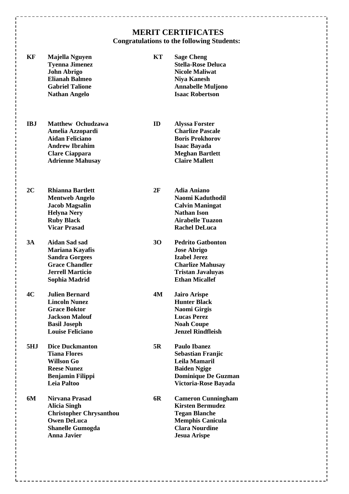# **MERIT CERTIFICATES Congratulations to the following Students:**

| KF         | Majella Nguyen<br><b>Tyenna Jimenez</b><br><b>John Abrigo</b><br><b>Elianah Balmeo</b><br><b>Gabriel Talione</b><br><b>Nathan Angelo</b>            | KT | <b>Sage Cheng</b><br><b>Stella-Rose Deluca</b><br><b>Nicole Maliwat</b><br><b>Niya Kanesh</b><br><b>Annabelle Muljono</b><br><b>Isaac Robertson</b>     |
|------------|-----------------------------------------------------------------------------------------------------------------------------------------------------|----|---------------------------------------------------------------------------------------------------------------------------------------------------------|
| <b>IBJ</b> | <b>Matthew Ochudzawa</b><br>Amelia Azzopardi<br><b>Aidan Feliciano</b><br><b>Andrew Ibrahim</b><br><b>Clare Ciappara</b><br><b>Adrienne Mahusay</b> | ID | <b>Alyssa Forster</b><br><b>Charlize Pascale</b><br><b>Boris Prokhorov</b><br><b>Isaac Bayada</b><br><b>Meghan Bartlett</b><br><b>Claire Mallett</b>    |
| 2C         | <b>Rhianna Bartlett</b><br><b>Mentweb Angelo</b><br><b>Jacob Magsalin</b><br><b>Helyna Nery</b><br><b>Ruby Black</b><br><b>Vicar Prasad</b>         | 2F | <b>Adia Aniano</b><br>Naomi Kaduthodil<br><b>Calvin Maningat</b><br><b>Nathan Ison</b><br><b>Airabelle Tuazon</b><br><b>Rachel DeLuca</b>               |
| 3A         | <b>Aidan Sad sad</b><br>Mariana Kayafis<br><b>Sandra Gorgees</b><br><b>Grace Chandler</b><br><b>Jerrell Marticio</b><br>Sophia Madrid               | 30 | <b>Pedrito Gatbonton</b><br><b>Jose Abrigo</b><br><b>Izabel Jerez</b><br><b>Charlize Mahusay</b><br><b>Tristan Javaluyas</b><br><b>Ethan Micallef</b>   |
| 4C         | <b>Julien Bernard</b><br><b>Lincoln Nunez</b><br><b>Grace Boktor</b><br><b>Jackson Malouf</b><br><b>Basil Joseph</b><br><b>Louise Feliciano</b>     | 4M | <b>Jairo Arispe</b><br><b>Hunter Black</b><br><b>Naomi Girgis</b><br><b>Lucas Perez</b><br><b>Noah Coupe</b><br><b>Jenzel Rindfleish</b>                |
| 5HJ        | <b>Dice Duckmanton</b><br><b>Tiana Flores</b><br><b>Willson Go</b><br><b>Reese Nunez</b><br><b>Benjamin Filippi</b><br>Leia Paltoo                  | 5R | <b>Paulo Ibanez</b><br><b>Sebastian Franjic</b><br>Leila Mamaril<br><b>Baiden Ngige</b><br><b>Dominique De Guzman</b><br>Victoria-Rose Bayada           |
| 6M         | Nirvana Prasad<br><b>Alicia Singh</b><br><b>Christopher Chrysanthou</b><br><b>Owen DeLuca</b><br><b>Shanelle Gumogda</b><br><b>Anna Javier</b>      | 6R | <b>Cameron Cunningham</b><br><b>Kirsten Bermudez</b><br><b>Tegan Blanche</b><br><b>Memphis Canicula</b><br><b>Clara Nourdine</b><br><b>Jesua Arispe</b> |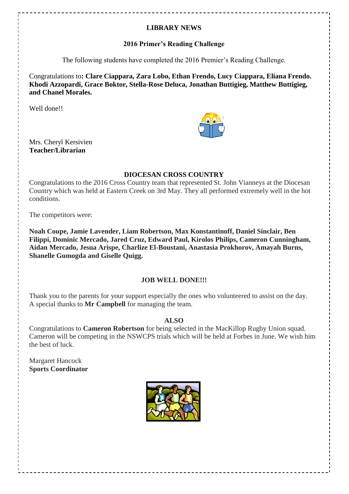# **LIBRARY NEWS**

# **2016 Primer's Reading Challenge**

The following students have completed the 2016 Premier's Reading Challenge.

Congratulations to**: Clare Ciappara, Zara Lobo, Ethan Frendo, Lucy Ciappara, Eliana Frendo. Khodi Azzopardi, Grace Boktor, Stella-Rose Deluca, Jonathan Buttigieg, Matthew Buttigieg, and Chanel Morales.**

Well done!!

Mrs. Cheryl Kersivien **Teacher/Librarian**

# **DIOCESAN CROSS COUNTRY**

Congratulations to the 2016 Cross Country team that represented St. John Vianneys at the Diocesan Country which was held at Eastern Creek on 3rd May. They all performed extremely well in the hot conditions.

The competitors were:

**Noah Coupe, Jamie Lavender, Liam Robertson, Max Konstantinoff, Daniel Sinclair, Ben Filippi, Dominic Mercado, Jared Cruz, Edward Paul, Kirolos Philips, Cameron Cunningham, Aidan Mercado, Jesua Arispe, Charlize El-Boustani, Anastasia Prokhorov, Amayah Burns, Shanelle Gumogda and Giselle Quigg.**

# **JOB WELL DONE!!!**

Thank you to the parents for your support especially the ones who volunteered to assist on the day. A special thanks to **Mr Campbell** for managing the team.

**ALSO**

Congratulations to **Cameron Robertson** for being selected in the MacKillop Rugby Union squad. Cameron will be competing in the NSWCPS trials which will be held at Forbes in June. We wish him the best of luck.

Margaret Hancock **Sports Coordinator**

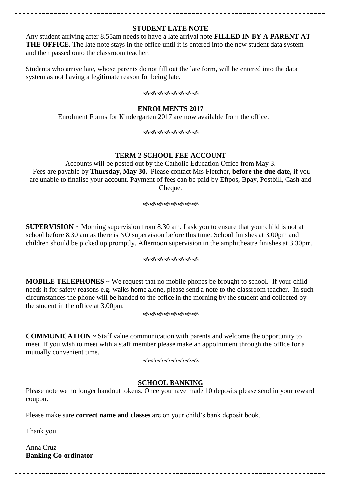### **STUDENT LATE NOTE**

Any student arriving after 8.55am needs to have a late arrival note **FILLED IN BY A PARENT AT THE OFFICE.** The late note stays in the office until it is entered into the new student data system and then passed onto the classroom teacher.

Students who arrive late, whose parents do not fill out the late form, will be entered into the data system as not having a legitimate reason for being late.

ৼ৽৻ৼ৽৻৽৻৽৻৽৻৽৻৽৻

### **ENROLMENTS 2017**

Enrolment Forms for Kindergarten 2017 are now available from the office.

### <del>๛</del>๛๛๛๛๛๛

### **TERM 2 SCHOOL FEE ACCOUNT**

Accounts will be posted out by the Catholic Education Office from May 3. Fees are payable by **Thursday, May 30.** Please contact Mrs Fletcher, **before the due date,** if you are unable to finalise your account. Payment of fees can be paid by Eftpos, Bpay, Postbill, Cash and Cheque.

<del>֍֍֍֍֍֍֍</del>

**SUPERVISION** ~ Morning supervision from 8.30 am. I ask you to ensure that your child is not at school before 8.30 am as there is NO supervision before this time. School finishes at 3.00pm and children should be picked up promptly. Afternoon supervision in the amphitheatre finishes at 3.30pm.

### ৼ৽৻ৼ৻ৼ৻ৼ৻

**MOBILE TELEPHONES ~** We request that no mobile phones be brought to school. If your child needs it for safety reasons e.g. walks home alone, please send a note to the classroom teacher. In such circumstances the phone will be handed to the office in the morning by the student and collected by the student in the office at 3.00pm.

ৼ৽৻৽৻৽৻৽৻৽৻৽৻৽৻৽৻

**COMMUNICATION ~** Staff value communication with parents and welcome the opportunity to meet. If you wish to meet with a staff member please make an appointment through the office for a mutually convenient time.

ଏ କ୍ୟାକ୍ତ କରା କରା କରା କରା <u>କରା କରା କରା କରା କ</u>ରା

### **SCHOOL BANKING**

Please note we no longer handout tokens. Once you have made 10 deposits please send in your reward coupon.

Please make sure **correct name and classes** are on your child's bank deposit book.

Thank you.

Anna Cruz **Banking Co-ordinator**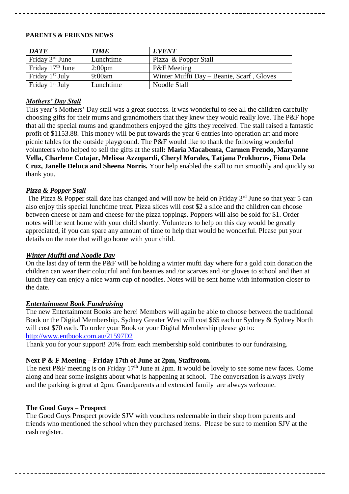### **PARENTS & FRIENDS NEWS**

| <b>DATE</b>                 | <b>TIME</b>        | <b>EVENT</b>                              |
|-----------------------------|--------------------|-------------------------------------------|
| Friday $3rd$ June           | Lunchtime          | Pizza & Popper Stall                      |
| Friday $17th$ June          | 2:00 <sub>pm</sub> | <b>P&amp;F</b> Meeting                    |
| Friday $1st$ July           | 9:00am             | Winter Muffti Day – Beanie, Scarf, Gloves |
| Friday 1 <sup>st</sup> July | Lunchtime          | Noodle Stall                              |

# *Mothers' Day Stall*

This year's Mothers' Day stall was a great success. It was wonderful to see all the children carefully choosing gifts for their mums and grandmothers that they knew they would really love. The P&F hope that all the special mums and grandmothers enjoyed the gifts they received. The stall raised a fantastic profit of \$1153.88. This money will be put towards the year 6 entries into operation art and more picnic tables for the outside playground. The P&F would like to thank the following wonderful volunteers who helped to sell the gifts at the stall**: Maria Macabenta, Carmen Frendo, Maryanne Vella, Charlene Cutajar, Melissa Azzopardi, Cheryl Morales, Tatjana Prokhorov, Fiona Dela Cruz, Janelle Deluca and Sheena Norris.** Your help enabled the stall to run smoothly and quickly so thank you.

## *Pizza & Popper Stall*

The Pizza & Popper stall date has changed and will now be held on Friday  $3<sup>rd</sup>$  June so that year 5 can also enjoy this special lunchtime treat. Pizza slices will cost \$2 a slice and the children can choose between cheese or ham and cheese for the pizza toppings. Poppers will also be sold for \$1. Order notes will be sent home with your child shortly. Volunteers to help on this day would be greatly appreciated, if you can spare any amount of time to help that would be wonderful. Please put your details on the note that will go home with your child.

## *Winter Muffti and Noodle Day*

On the last day of term the P&F will be holding a winter mufti day where for a gold coin donation the children can wear their colourful and fun beanies and /or scarves and /or gloves to school and then at lunch they can enjoy a nice warm cup of noodles. Notes will be sent home with information closer to the date.

### *Entertainment Book Fundraising*

The new Entertainment Books are here! Members will again be able to choose between the traditional Book or the Digital Membership. Sydney Greater West will cost \$65 each or Sydney & Sydney North will cost \$70 each. To order your Book or your Digital Membership please go to: <http://www.entbook.com.au/21597D2>

Thank you for your support! 20% from each membership sold contributes to our fundraising.

## **Next P & F Meeting – Friday 17th of June at 2pm, Staffroom.**

The next P&F meeting is on Friday 17<sup>th</sup> June at 2pm. It would be lovely to see some new faces. Come along and hear some insights about what is happening at school. The conversation is always lively and the parking is great at 2pm. Grandparents and extended family are always welcome.

## **The Good Guys – Prospect**

The Good Guys Prospect provide SJV with vouchers redeemable in their shop from parents and friends who mentioned the school when they purchased items. Please be sure to mention SJV at the cash register.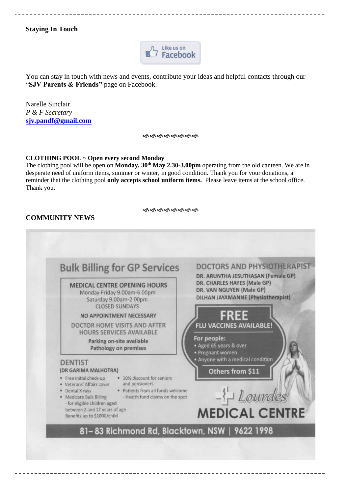# **Staying In Touch**



You can stay in touch with news and events, contribute your ideas and helpful contacts through our "**SJV Parents & Friends"** page on Facebook.

Narelle Sinclair *P & F Secretary* **[sjv.pandf@gmail.com](mailto:sjv.pandf@gmail.com)**

နှစ်ဆိုဆိုဆိုဆိုဆိုဆို

### **CLOTHING POOL ~ Open every second Monday**

The clothing pool will be open on **Monday, 30th May 2.30-3.00pm** operating from the old canteen. We are in desperate need of uniform items, summer or winter, in good condition. Thank you for your donations, a reminder that the clothing pool **only accepts school uniform items.** Please leave items at the school office. Thank you.

ৰ্জক্ষিকৰ্জক্ষিকৰি

# **COMMUNITY NEWS**

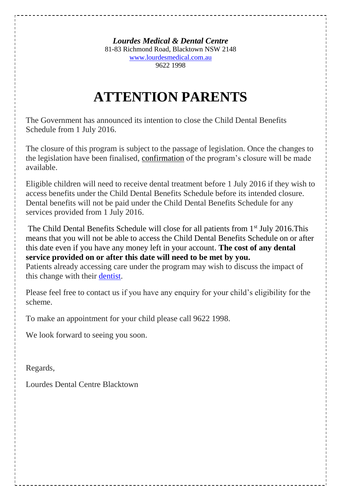*Lourdes Medical & Dental Centre* 81-83 Richmond Road, Blacktown NSW 2148 [www.lourdesmedical.com.au](http://www.lourdesmedical.com.au/) 9622 1998

# **ATTENTION PARENTS**

The Government has announced its intention to close the Child Dental Benefits Schedule from 1 July 2016.

The closure of this program is subject to the passage of legislation. Once the changes to the legislation have been finalised, confirmation of the program's closure will be made available.

Eligible children will need to receive dental treatment before 1 July 2016 if they wish to access benefits under the Child Dental Benefits Schedule before its intended closure. Dental benefits will not be paid under the Child Dental Benefits Schedule for any services provided from 1 July 2016.

The Child Dental Benefits Schedule will close for all patients from 1<sup>st</sup> July 2016.This means that you will not be able to access the Child Dental Benefits Schedule on or after this date even if you have any money left in your account. **The cost of any dental service provided on or after this date will need to be met by you.**

Patients already accessing care under the program may wish to discuss the impact of this change with their [dentist.](http://www.health.gov.au/internet/main/publishing.nsf/Content/childdental)

Please feel free to contact us if you have any enquiry for your child's eligibility for the scheme.

To make an appointment for your child please call 9622 1998.

We look forward to seeing you soon.

Regards,

Lourdes Dental Centre Blacktown